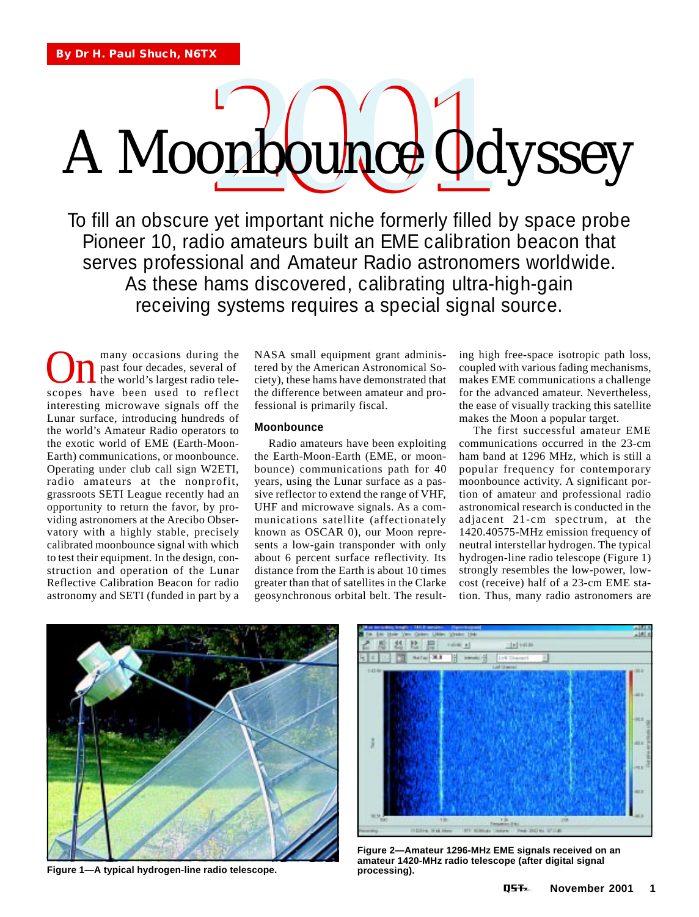# A Moonbounce Odyssey

To fill an obscure yet important niche formerly filled by space probe Pioneer 10, radio amateurs built an EME calibration beacon that serves professional and Amateur Radio astronomers worldwide. As these hams discovered, calibrating ultra-high-gain receiving systems requires a special signal source.

many occasions during the past four decades, several of the world's largest radio tele-**On** many occasions during the past four decades, several of the world's largest radio telescopes have been used to reflect interesting microwave signals off the Lunar surface, introducing hundreds of the world's Amateur Radio operators to the exotic world of EME (Earth-Moon-Earth) communications, or moonbounce. Operating under club call sign W2ETI, radio amateurs at the nonprofit, grassroots SETI League recently had an opportunity to return the favor, by providing astronomers at the Arecibo Observatory with a highly stable, precisely calibrated moonbounce signal with which to test their equipment. In the design, construction and operation of the Lunar Reflective Calibration Beacon for radio astronomy and SETI (funded in part by a

NASA small equipment grant administered by the American Astronomical Society), these hams have demonstrated that the difference between amateur and professional is primarily fiscal.

# **Moonbounce**

Radio amateurs have been exploiting the Earth-Moon-Earth (EME, or moonbounce) communications path for 40 years, using the Lunar surface as a passive reflector to extend the range of VHF, UHF and microwave signals. As a communications satellite (affectionately known as OSCAR 0), our Moon represents a low-gain transponder with only about 6 percent surface reflectivity. Its distance from the Earth is about 10 times greater than that of satellites in the Clarke geosynchronous orbital belt. The resulting high free-space isotropic path loss, coupled with various fading mechanisms, makes EME communications a challenge for the advanced amateur. Nevertheless, the ease of visually tracking this satellite makes the Moon a popular target.

The first successful amateur EME communications occurred in the 23-cm ham band at 1296 MHz, which is still a popular frequency for contemporary moonbounce activity. A significant portion of amateur and professional radio astronomical research is conducted in the adjacent 21-cm spectrum, at the 1420.40575-MHz emission frequency of neutral interstellar hydrogen. The typical hydrogen-line radio telescope (Figure 1) strongly resembles the low-power, lowcost (receive) half of a 23-cm EME station. Thus, many radio astronomers are



**Figure 1—A typical hydrogen-line radio telescope.**



**Figure 2—Amateur 1296-MHz EME signals received on an amateur 1420-MHz radio telescope (after digital signal processing).**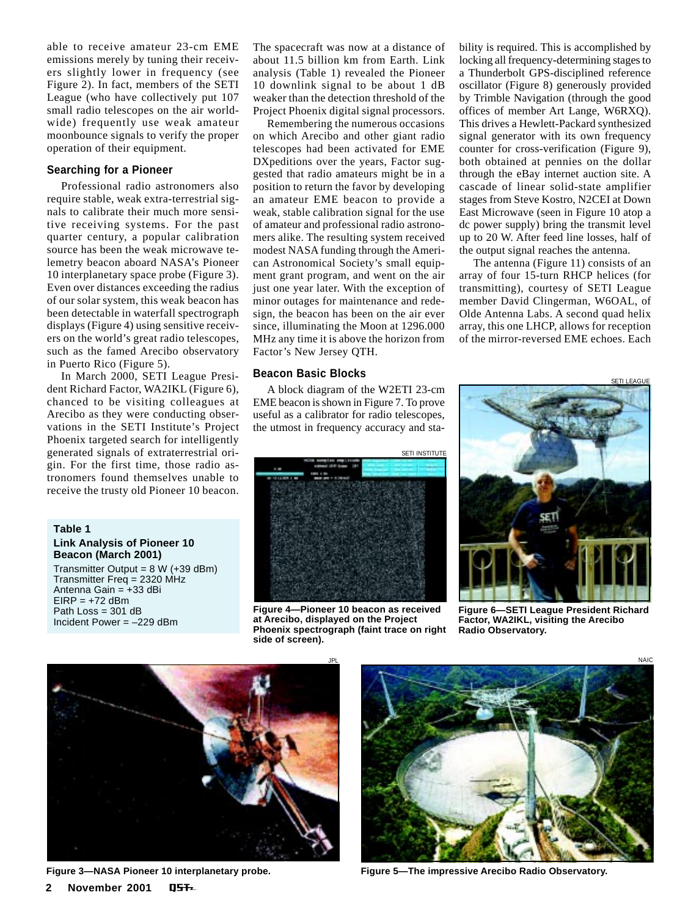able to receive amateur 23-cm EME emissions merely by tuning their receivers slightly lower in frequency (see Figure 2). In fact, members of the SETI League (who have collectively put 107 small radio telescopes on the air worldwide) frequently use weak amateur moonbounce signals to verify the proper operation of their equipment.

#### **Searching for a Pioneer**

Professional radio astronomers also require stable, weak extra-terrestrial signals to calibrate their much more sensitive receiving systems. For the past quarter century, a popular calibration source has been the weak microwave telemetry beacon aboard NASA's Pioneer 10 interplanetary space probe (Figure 3). Even over distances exceeding the radius of our solar system, this weak beacon has been detectable in waterfall spectrograph displays (Figure 4) using sensitive receivers on the world's great radio telescopes, such as the famed Arecibo observatory in Puerto Rico (Figure 5).

In March 2000, SETI League President Richard Factor, WA2IKL (Figure 6), chanced to be visiting colleagues at Arecibo as they were conducting observations in the SETI Institute's Project Phoenix targeted search for intelligently generated signals of extraterrestrial origin. For the first time, those radio astronomers found themselves unable to receive the trusty old Pioneer 10 beacon.

# **Table 1 Link Analysis of Pioneer 10 Beacon (March 2001)**

Transmitter Output =  $8 W (+39 dBm)$ Transmitter Freq = 2320 MHz Antenna Gain = +33 dBi  $EIRP = +72$  dBm Path Loss = 301 dB Incident Power = –229 dBm

The spacecraft was now at a distance of about 11.5 billion km from Earth. Link analysis (Table 1) revealed the Pioneer 10 downlink signal to be about 1 dB weaker than the detection threshold of the Project Phoenix digital signal processors.

Remembering the numerous occasions on which Arecibo and other giant radio telescopes had been activated for EME DXpeditions over the years, Factor suggested that radio amateurs might be in a position to return the favor by developing an amateur EME beacon to provide a weak, stable calibration signal for the use of amateur and professional radio astronomers alike. The resulting system received modest NASA funding through the American Astronomical Society's small equipment grant program, and went on the air just one year later. With the exception of minor outages for maintenance and redesign, the beacon has been on the air ever since, illuminating the Moon at 1296.000 MHz any time it is above the horizon from Factor's New Jersey QTH.

#### **Beacon Basic Blocks**

A block diagram of the W2ETI 23-cm EME beacon is shown in Figure 7. To prove useful as a calibrator for radio telescopes, the utmost in frequency accuracy and sta-



**Figure 4—Pioneer 10 beacon as received at Arecibo, displayed on the Project Phoenix spectrograph (faint trace on right side of screen).**

bility is required. This is accomplished by locking all frequency-determining stages to a Thunderbolt GPS-disciplined reference oscillator (Figure 8) generously provided by Trimble Navigation (through the good offices of member Art Lange, W6RXQ). This drives a Hewlett-Packard synthesized signal generator with its own frequency counter for cross-verification (Figure 9), both obtained at pennies on the dollar through the eBay internet auction site. A cascade of linear solid-state amplifier stages from Steve Kostro, N2CEI at Down East Microwave (seen in Figure 10 atop a dc power supply) bring the transmit level up to 20 W. After feed line losses, half of the output signal reaches the antenna.

The antenna (Figure 11) consists of an array of four 15-turn RHCP helices (for transmitting), courtesy of SETI League member David Clingerman, W6OAL, of Olde Antenna Labs. A second quad helix array, this one LHCP, allows for reception of the mirror-reversed EME echoes. Each

SETI LEAGUE



**Figure 6—SETI League President Richard Factor, WA2IKL, visiting the Arecibo Radio Observatory.**



**Figure 3—NASA Pioneer 10 interplanetary probe. 2 November 2001** NST.



**Figure 5—The impressive Arecibo Radio Observatory.**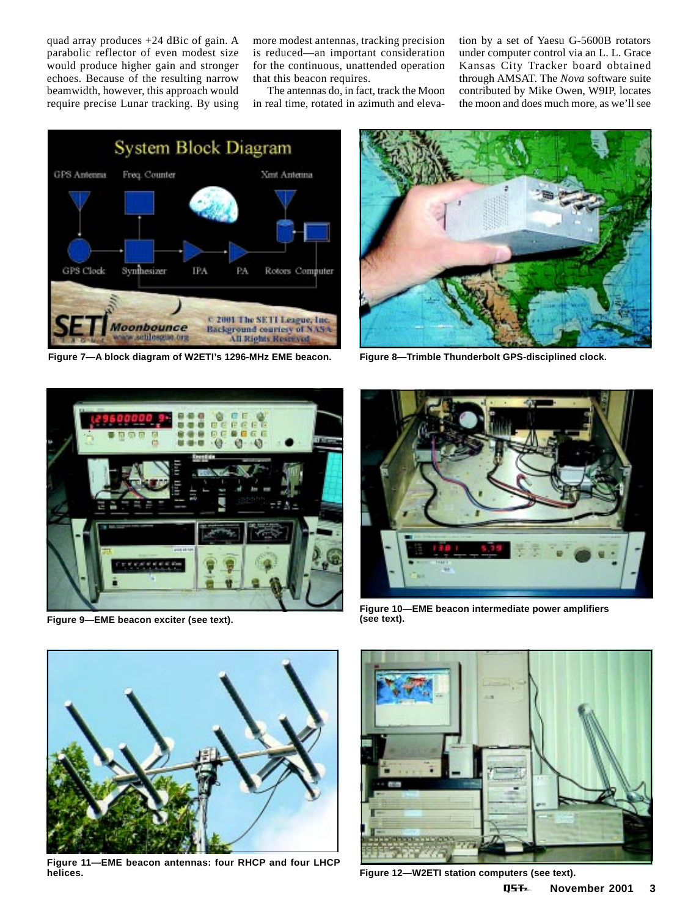quad array produces +24 dBic of gain. A parabolic reflector of even modest size would produce higher gain and stronger echoes. Because of the resulting narrow beamwidth, however, this approach would require precise Lunar tracking. By using

more modest antennas, tracking precision is reduced—an important consideration for the continuous, unattended operation that this beacon requires.

The antennas do, in fact, track the Moon in real time, rotated in azimuth and elevation by a set of Yaesu G-5600B rotators under computer control via an L. L. Grace Kansas City Tracker board obtained through AMSAT. The *Nova* software suite contributed by Mike Owen, W9IP, locates the moon and does much more, as we'll see



**Figure 7—A block diagram of W2ETI's 1296-MHz EME beacon. Figure 8—Trimble Thunderbolt GPS-disciplined clock.**





**Figure 9—EME beacon exciter (see text).**



**Figure 10—EME beacon intermediate power amplifiers (see text).**



**Figure 11—EME beacon antennas: four RHCP and four LHCP**



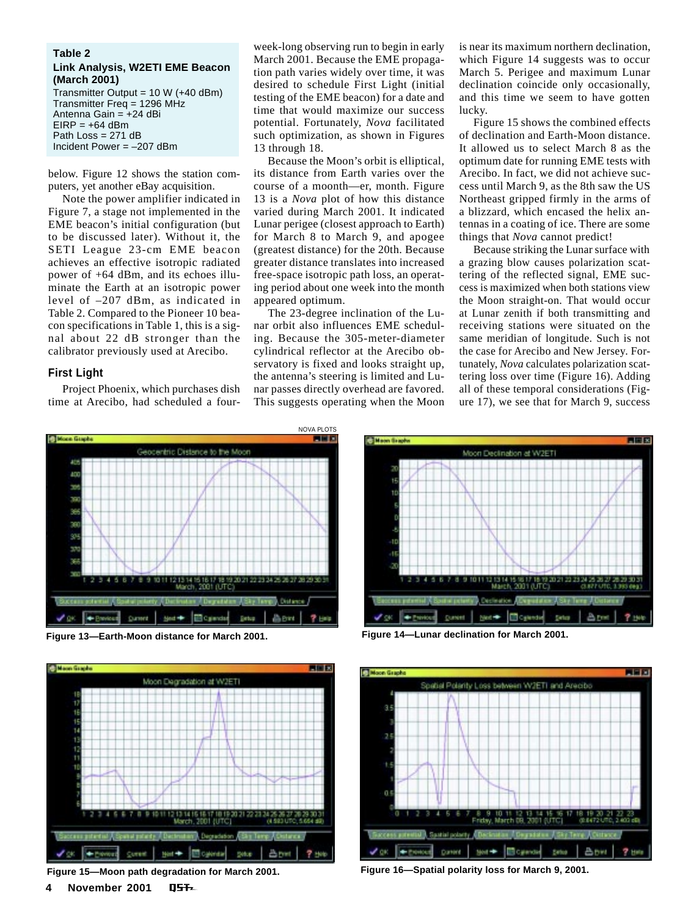# **Table 2 Link Analysis, W2ETI EME Beacon (March 2001)**

Transmitter Output = 10 W (+40 dBm) Transmitter Freq = 1296 MHz Antenna Gain = +24 dBi  $EIRP = +64$  dBm Path Loss = 271 dB Incident Power = –207 dBm

below. Figure 12 shows the station computers, yet another eBay acquisition.

Note the power amplifier indicated in Figure 7, a stage not implemented in the EME beacon's initial configuration (but to be discussed later). Without it, the SETI League 23-cm EME beacon achieves an effective isotropic radiated power of +64 dBm, and its echoes illuminate the Earth at an isotropic power level of –207 dBm, as indicated in Table 2. Compared to the Pioneer 10 beacon specifications in Table 1, this is a signal about 22 dB stronger than the calibrator previously used at Arecibo.

# **First Light**

Project Phoenix, which purchases dish time at Arecibo, had scheduled a four-

week-long observing run to begin in early March 2001. Because the EME propagation path varies widely over time, it was desired to schedule First Light (initial testing of the EME beacon) for a date and time that would maximize our success potential. Fortunately, *Nova* facilitated such optimization, as shown in Figures 13 through 18.

Because the Moon's orbit is elliptical, its distance from Earth varies over the course of a moonth—er, month. Figure 13 is a *Nova* plot of how this distance varied during March 2001. It indicated Lunar perigee (closest approach to Earth) for March 8 to March 9, and apogee (greatest distance) for the 20th. Because greater distance translates into increased free-space isotropic path loss, an operating period about one week into the month appeared optimum.

The 23-degree inclination of the Lunar orbit also influences EME scheduling. Because the 305-meter-diameter cylindrical reflector at the Arecibo observatory is fixed and looks straight up, the antenna's steering is limited and Lunar passes directly overhead are favored. This suggests operating when the Moon

is near its maximum northern declination, which Figure 14 suggests was to occur March 5. Perigee and maximum Lunar declination coincide only occasionally, and this time we seem to have gotten lucky.

Figure 15 shows the combined effects of declination and Earth-Moon distance. It allowed us to select March 8 as the optimum date for running EME tests with Arecibo. In fact, we did not achieve success until March 9, as the 8th saw the US Northeast gripped firmly in the arms of a blizzard, which encased the helix antennas in a coating of ice. There are some things that *Nova* cannot predict!

Because striking the Lunar surface with a grazing blow causes polarization scattering of the reflected signal, EME success is maximized when both stations view the Moon straight-on. That would occur at Lunar zenith if both transmitting and receiving stations were situated on the same meridian of longitude. Such is not the case for Arecibo and New Jersey. Fortunately, *Nova* calculates polarization scattering loss over time (Figure 16). Adding all of these temporal considerations (Figure 17), we see that for March 9, success



**Figure 13—Earth-Moon distance for March 2001. Figure 14—Lunar declination for March 2001.**









**Figure 15—Moon path degradation for March 2001. Figure 16—Spatial polarity loss for March 9, 2001.**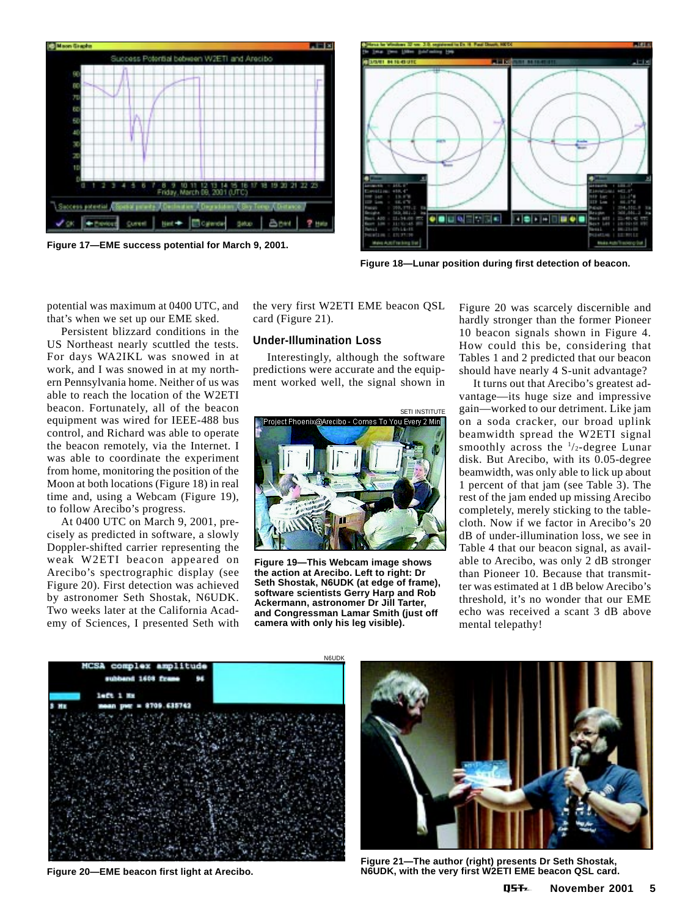

**Figure 17—EME success potential for March 9, 2001.**



**Figure 18—Lunar position during first detection of beacon.**

potential was maximum at 0400 UTC, and that's when we set up our EME sked.

Persistent blizzard conditions in the US Northeast nearly scuttled the tests. For days WA2IKL was snowed in at work, and I was snowed in at my northern Pennsylvania home. Neither of us was able to reach the location of the W2ETI beacon. Fortunately, all of the beacon equipment was wired for IEEE-488 bus control, and Richard was able to operate the beacon remotely, via the Internet. I was able to coordinate the experiment from home, monitoring the position of the Moon at both locations (Figure 18) in real time and, using a Webcam (Figure 19), to follow Arecibo's progress.

At 0400 UTC on March 9, 2001, precisely as predicted in software, a slowly Doppler-shifted carrier representing the weak W2ETI beacon appeared on Arecibo's spectrographic display (see Figure 20). First detection was achieved by astronomer Seth Shostak, N6UDK. Two weeks later at the California Academy of Sciences, I presented Seth with

the very first W2ETI EME beacon QSL card (Figure 21).

# **Under-Illumination Loss**

Interestingly, although the software predictions were accurate and the equipment worked well, the signal shown in



**Figure 19—This Webcam image shows the action at Arecibo. Left to right: Dr Seth Shostak, N6UDK (at edge of frame), software scientists Gerry Harp and Rob Ackermann, astronomer Dr Jill Tarter, and Congressman Lamar Smith (just off camera with only his leg visible).**

Figure 20 was scarcely discernible and hardly stronger than the former Pioneer 10 beacon signals shown in Figure 4. How could this be, considering that Tables 1 and 2 predicted that our beacon should have nearly 4 S-unit advantage?

It turns out that Arecibo's greatest advantage—its huge size and impressive gain—worked to our detriment. Like jam on a soda cracker, our broad uplink beamwidth spread the W2ETI signal smoothly across the  $\frac{1}{2}$ -degree Lunar disk. But Arecibo, with its 0.05-degree beamwidth, was only able to lick up about 1 percent of that jam (see Table 3). The rest of the jam ended up missing Arecibo completely, merely sticking to the tablecloth. Now if we factor in Arecibo's 20 dB of under-illumination loss, we see in Table 4 that our beacon signal, as available to Arecibo, was only 2 dB stronger than Pioneer 10. Because that transmitter was estimated at 1 dB below Arecibo's threshold, it's no wonder that our EME echo was received a scant 3 dB above mental telepathy!





**Figure 21—The author (right) presents Dr Seth Shostak, Figure 20—EME beacon first light at Arecibo. N6UDK, with the very first W2ETI EME beacon QSL card.**